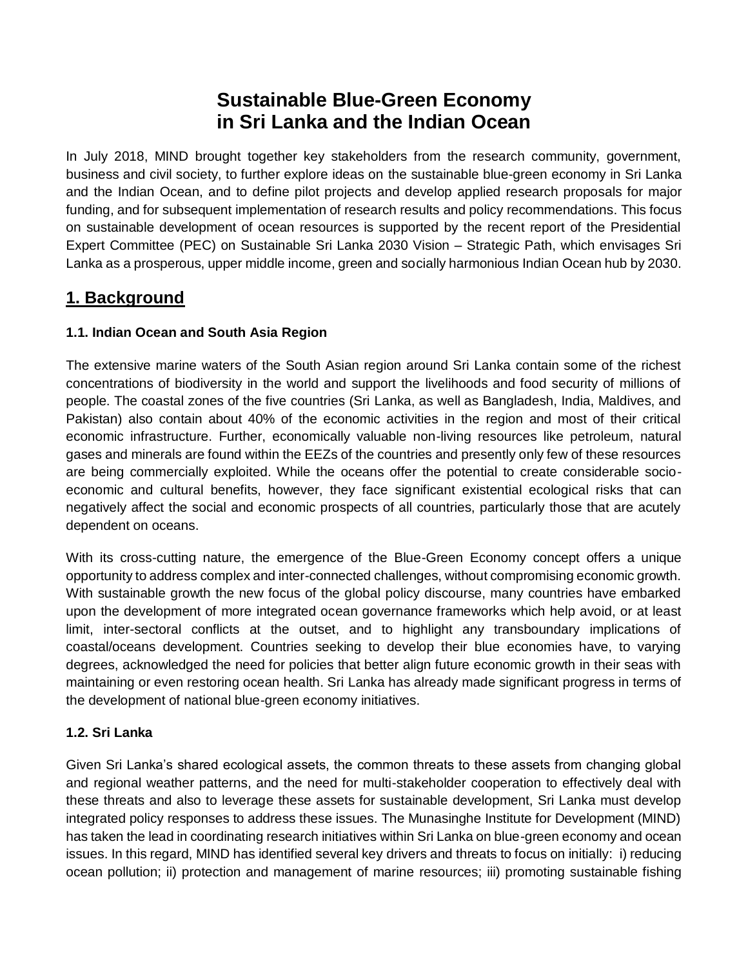# **Sustainable Blue-Green Economy in Sri Lanka and the Indian Ocean**

In July 2018, MIND brought together key stakeholders from the research community, government, business and civil society, to further explore ideas on the sustainable blue-green economy in Sri Lanka and the Indian Ocean, and to define pilot projects and develop applied research proposals for major funding, and for subsequent implementation of research results and policy recommendations. This focus on sustainable development of ocean resources is supported by the recent report of the Presidential Expert Committee (PEC) on Sustainable Sri Lanka 2030 Vision – Strategic Path, which envisages Sri Lanka as a prosperous, upper middle income, green and socially harmonious Indian Ocean hub by 2030.

## **1. Background**

## **1.1. Indian Ocean and South Asia Region**

The extensive marine waters of the South Asian region around Sri Lanka contain some of the richest concentrations of biodiversity in the world and support the livelihoods and food security of millions of people. The coastal zones of the five countries (Sri Lanka, as well as Bangladesh, India, Maldives, and Pakistan) also contain about 40% of the economic activities in the region and most of their critical economic infrastructure. Further, economically valuable non-living resources like petroleum, natural gases and minerals are found within the EEZs of the countries and presently only few of these resources are being commercially exploited. While the oceans offer the potential to create considerable socioeconomic and cultural benefits, however, they face significant existential ecological risks that can negatively affect the social and economic prospects of all countries, particularly those that are acutely dependent on oceans.

With its cross-cutting nature, the emergence of the Blue-Green Economy concept offers a unique opportunity to address complex and inter-connected challenges, without compromising economic growth. With sustainable growth the new focus of the global policy discourse, many countries have embarked upon the development of more integrated ocean governance frameworks which help avoid, or at least limit, inter-sectoral conflicts at the outset, and to highlight any transboundary implications of coastal/oceans development. Countries seeking to develop their blue economies have, to varying degrees, acknowledged the need for policies that better align future economic growth in their seas with maintaining or even restoring ocean health. Sri Lanka has already made significant progress in terms of the development of national blue-green economy initiatives.

### **1.2. Sri Lanka**

Given Sri Lanka's shared ecological assets, the common threats to these assets from changing global and regional weather patterns, and the need for multi-stakeholder cooperation to effectively deal with these threats and also to leverage these assets for sustainable development, Sri Lanka must develop integrated policy responses to address these issues. The Munasinghe Institute for Development (MIND) has taken the lead in coordinating research initiatives within Sri Lanka on blue-green economy and ocean issues. In this regard, MIND has identified several key drivers and threats to focus on initially: i) reducing ocean pollution; ii) protection and management of marine resources; iii) promoting sustainable fishing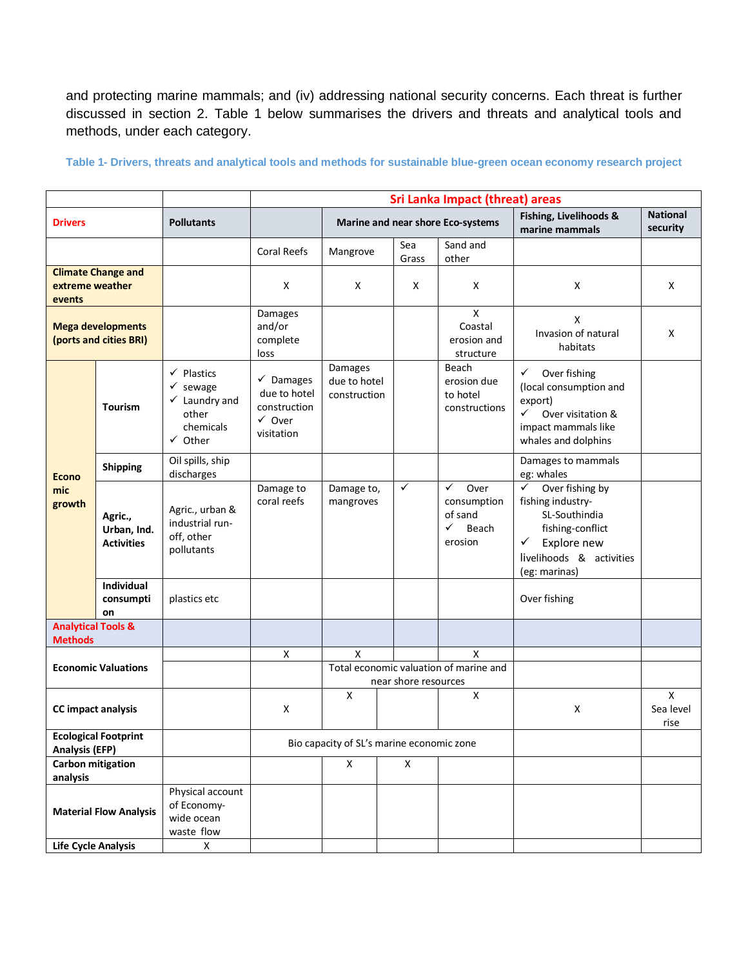and protecting marine mammals; and (iv) addressing national security concerns. Each threat is further discussed in section 2. Table 1 below summarises the drivers and threats and analytical tools and methods, under each category.

|                                                        |                                             |                                                                                                                      | <b>Sri Lanka Impact (threat) areas</b>                                                  |                                                                |              |       |                                                                         |                                                                                                                                                            |                             |
|--------------------------------------------------------|---------------------------------------------|----------------------------------------------------------------------------------------------------------------------|-----------------------------------------------------------------------------------------|----------------------------------------------------------------|--------------|-------|-------------------------------------------------------------------------|------------------------------------------------------------------------------------------------------------------------------------------------------------|-----------------------------|
| <b>Drivers</b>                                         |                                             | <b>Pollutants</b>                                                                                                    |                                                                                         | Marine and near shore Eco-systems                              |              |       |                                                                         | Fishing, Livelihoods &<br>marine mammals                                                                                                                   | <b>National</b><br>security |
|                                                        |                                             |                                                                                                                      | <b>Coral Reefs</b>                                                                      | Mangrove                                                       | Sea          | Grass | Sand and<br>other                                                       |                                                                                                                                                            |                             |
| <b>Climate Change and</b><br>extreme weather<br>events |                                             |                                                                                                                      | X                                                                                       | X                                                              |              | X     | Χ                                                                       | X                                                                                                                                                          | X                           |
| <b>Mega developments</b><br>(ports and cities BRI)     |                                             |                                                                                                                      | Damages<br>and/or<br>complete<br>loss                                                   |                                                                |              |       | X<br>Coastal<br>erosion and<br>structure                                | X<br>Invasion of natural<br>habitats                                                                                                                       | X                           |
| <b>Econo</b><br>mic<br>growth                          | <b>Tourism</b>                              | $\checkmark$ Plastics<br>$\checkmark$ sewage<br>$\checkmark$ Laundry and<br>other<br>chemicals<br>$\checkmark$ Other | $\checkmark$ Damages<br>due to hotel<br>construction<br>$\checkmark$ Over<br>visitation | Damages<br>due to hotel<br>construction                        |              |       | Beach<br>erosion due<br>to hotel<br>constructions                       | ✓<br>Over fishing<br>(local consumption and<br>export)<br>✓<br>Over visitation &<br>impact mammals like<br>whales and dolphins                             |                             |
|                                                        | <b>Shipping</b>                             | Oil spills, ship<br>discharges                                                                                       |                                                                                         |                                                                |              |       |                                                                         | Damages to mammals<br>eg: whales                                                                                                                           |                             |
|                                                        | Agric.,<br>Urban, Ind.<br><b>Activities</b> | Agric., urban &<br>industrial run-<br>off, other<br>pollutants                                                       | Damage to<br>coral reefs                                                                | Damage to,<br>mangroves                                        | $\checkmark$ |       | $\checkmark$<br>Over<br>consumption<br>of sand<br>✓<br>Beach<br>erosion | Over fishing by<br>$\checkmark$<br>fishing industry-<br>SL-Southindia<br>fishing-conflict<br>Explore new<br>✓<br>livelihoods & activities<br>(eg: marinas) |                             |
|                                                        | Individual<br>consumpti<br>on               | plastics etc                                                                                                         |                                                                                         |                                                                |              |       |                                                                         | Over fishing                                                                                                                                               |                             |
| <b>Analytical Tools &amp;</b><br><b>Methods</b>        |                                             |                                                                                                                      |                                                                                         |                                                                |              |       |                                                                         |                                                                                                                                                            |                             |
|                                                        |                                             |                                                                                                                      | X                                                                                       | X                                                              |              |       | x                                                                       |                                                                                                                                                            |                             |
| <b>Economic Valuations</b>                             |                                             |                                                                                                                      |                                                                                         | Total economic valuation of marine and<br>near shore resources |              |       |                                                                         |                                                                                                                                                            |                             |
| <b>CC</b> impact analysis                              |                                             |                                                                                                                      | X                                                                                       | X                                                              |              |       | X                                                                       | X                                                                                                                                                          | X<br>Sea level<br>rise      |
| <b>Ecological Footprint</b><br><b>Analysis (EFP)</b>   |                                             |                                                                                                                      | Bio capacity of SL's marine economic zone                                               |                                                                |              |       |                                                                         |                                                                                                                                                            |                             |
| Carbon mitigation<br>analysis                          |                                             |                                                                                                                      |                                                                                         | X                                                              | X            |       |                                                                         |                                                                                                                                                            |                             |
| <b>Material Flow Analysis</b>                          |                                             | Physical account<br>of Economy-<br>wide ocean<br>waste flow                                                          |                                                                                         |                                                                |              |       |                                                                         |                                                                                                                                                            |                             |
| Life Cycle Analysis                                    |                                             | X                                                                                                                    |                                                                                         |                                                                |              |       |                                                                         |                                                                                                                                                            |                             |

**Table 1- Drivers, threats and analytical tools and methods for sustainable blue-green ocean economy research project**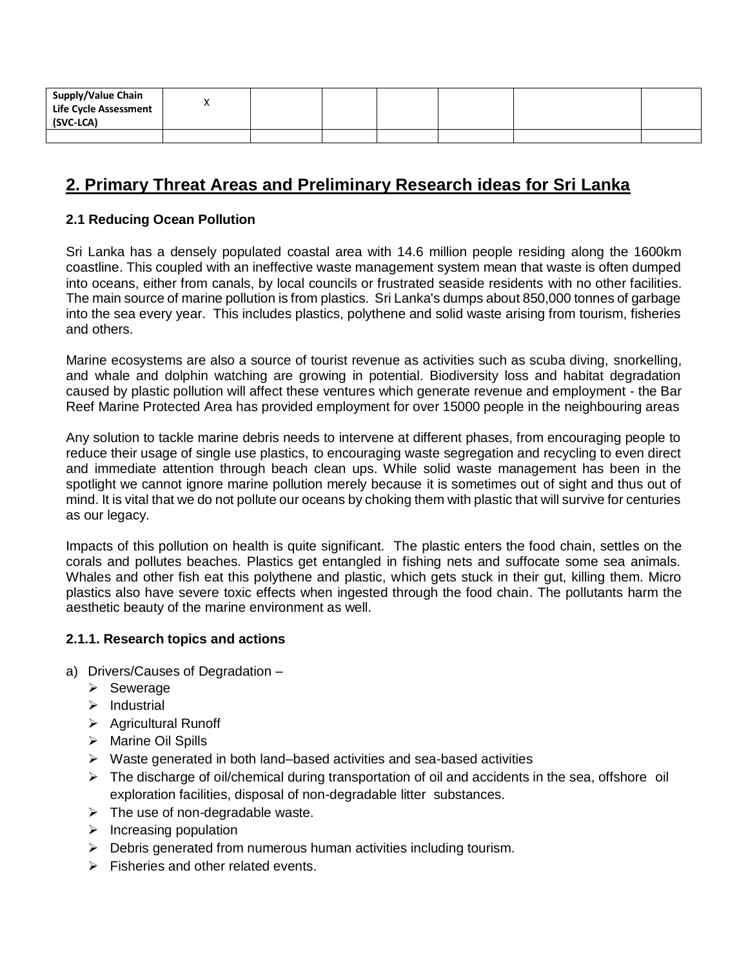| Supply/Value Chain<br><b>Life Cycle Assessment</b><br>(SVC-LCA) | Λ |  |  |  |
|-----------------------------------------------------------------|---|--|--|--|
|                                                                 |   |  |  |  |

## **2. Primary Threat Areas and Preliminary Research ideas for Sri Lanka**

#### **2.1 Reducing Ocean Pollution**

Sri Lanka has a densely populated coastal area with 14.6 million people residing along the 1600km coastline. This coupled with an ineffective waste management system mean that waste is often dumped into oceans, either from canals, by local councils or frustrated seaside residents with no other facilities. The main source of marine pollution is from plastics. Sri Lanka's dumps about 850,000 tonnes of garbage into the sea every year. This includes plastics, polythene and solid waste arising from tourism, fisheries and others.

Marine ecosystems are also a source of tourist revenue as activities such as scuba diving, snorkelling, and whale and dolphin watching are growing in potential. Biodiversity loss and habitat degradation caused by plastic pollution will affect these ventures which generate revenue and employment - the Bar Reef Marine Protected Area has provided employment for over 15000 people in the neighbouring areas

Any solution to tackle marine debris needs to intervene at different phases, from encouraging people to reduce their usage of single use plastics, to encouraging waste segregation and recycling to even direct and immediate attention through beach clean ups. While solid waste management has been in the spotlight we cannot ignore marine pollution merely because it is sometimes out of sight and thus out of mind. It is vital that we do not pollute our oceans by choking them with plastic that will survive for centuries as our legacy.

Impacts of this pollution on health is quite significant. The plastic enters the food chain, settles on the corals and pollutes beaches. Plastics get entangled in fishing nets and suffocate some sea animals. Whales and other fish eat this polythene and plastic, which gets stuck in their gut, killing them. Micro plastics also have severe toxic effects when ingested through the food chain. The pollutants harm the aesthetic beauty of the marine environment as well.

#### **2.1.1. Research topics and actions**

- a) Drivers/Causes of Degradation
	- ➢ Sewerage
	- ➢ Industrial
	- ➢ Agricultural Runoff
	- ➢ Marine Oil Spills
	- ➢ Waste generated in both land–based activities and sea-based activities
	- $\triangleright$  The discharge of oil/chemical during transportation of oil and accidents in the sea, offshore oil exploration facilities, disposal of non-degradable litter substances.
	- $\triangleright$  The use of non-degradable waste.
	- $\triangleright$  Increasing population
	- $\triangleright$  Debris generated from numerous human activities including tourism.
	- $\triangleright$  Fisheries and other related events.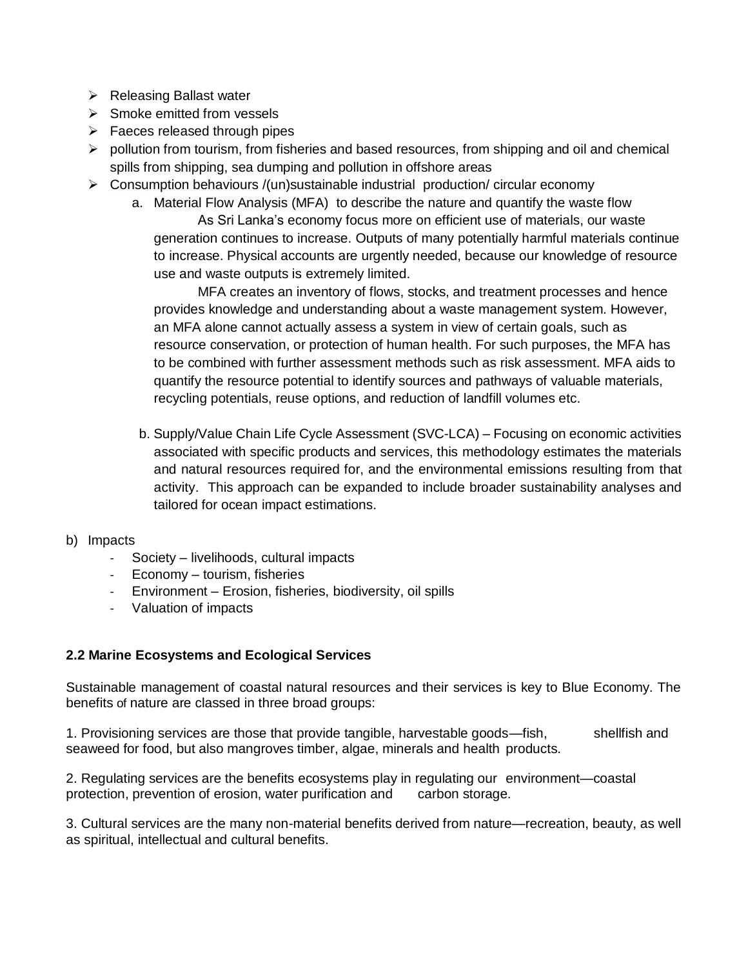- ➢ Releasing Ballast water
- $\triangleright$  Smoke emitted from vessels
- $\triangleright$  Faeces released through pipes
- $\triangleright$  pollution from tourism, from fisheries and based resources, from shipping and oil and chemical spills from shipping, sea dumping and pollution in offshore areas
- $\triangleright$  Consumption behaviours /(un)sustainable industrial production/ circular economy
	- a. Material Flow Analysis (MFA) to describe the nature and quantify the waste flow

As Sri Lanka's economy focus more on efficient use of materials, our waste generation continues to increase. Outputs of many potentially harmful materials continue to increase. Physical accounts are urgently needed, because our knowledge of resource use and waste outputs is extremely limited.

MFA creates an inventory of flows, stocks, and treatment processes and hence provides knowledge and understanding about a waste management system. However, an MFA alone cannot actually assess a system in view of certain goals, such as resource conservation, or protection of human health. For such purposes, the MFA has to be combined with further assessment methods such as risk assessment. MFA aids to quantify the resource potential to identify sources and pathways of valuable materials, recycling potentials, reuse options, and reduction of landfill volumes etc.

- b. Supply/Value Chain Life Cycle Assessment (SVC-LCA) Focusing on economic activities associated with specific products and services, this methodology estimates the materials and natural resources required for, and the environmental emissions resulting from that activity. This approach can be expanded to include broader sustainability analyses and tailored for ocean impact estimations.
- b) Impacts
	- Society livelihoods, cultural impacts
	- Economy tourism, fisheries
	- Environment Erosion, fisheries, biodiversity, oil spills
	- Valuation of impacts

#### **2.2 Marine Ecosystems and Ecological Services**

Sustainable management of coastal natural resources and their services is key to Blue Economy. The benefits of nature are classed in three broad groups:

1. Provisioning services are those that provide tangible, harvestable goods—fish, shellfish and seaweed for food, but also mangroves timber, algae, minerals and health products.

2. Regulating services are the benefits ecosystems play in regulating our environment—coastal protection, prevention of erosion, water purification and carbon storage.

3. Cultural services are the many non-material benefits derived from nature—recreation, beauty, as well as spiritual, intellectual and cultural benefits.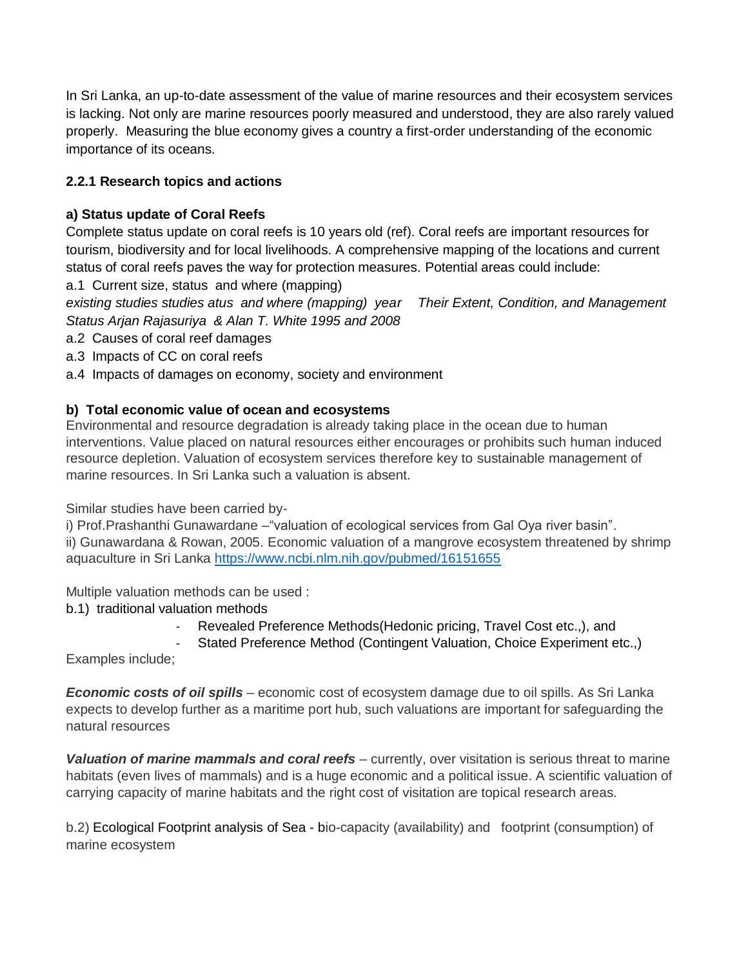In Sri Lanka, an up-to-date assessment of the value of marine resources and their ecosystem services is lacking. Not only are marine resources poorly measured and understood, they are also rarely valued properly. Measuring the blue economy gives a country a first-order understanding of the economic importance of its oceans.

## **2.2.1 Research topics and actions**

### **a) Status update of Coral Reefs**

Complete status update on coral reefs is 10 years old (ref). Coral reefs are important resources for tourism, biodiversity and for local livelihoods. A comprehensive mapping of the locations and current status of coral reefs paves the way for protection measures. Potential areas could include:

a.1 Current size, status and where (mapping)

*existing studies studies atus and where (mapping) year Their Extent, Condition, and Management Status Arjan Rajasuriya & Alan T. White 1995 and 2008*

a.2 Causes of coral reef damages

- a.3 Impacts of CC on coral reefs
- a.4 Impacts of damages on economy, society and environment

### **b) Total economic value of ocean and ecosystems**

Environmental and resource degradation is already taking place in the ocean due to human interventions. Value placed on natural resources either encourages or prohibits such human induced resource depletion. Valuation of ecosystem services therefore key to sustainable management of marine resources. In Sri Lanka such a valuation is absent.

Similar studies have been carried by-

i) Prof.Prashanthi Gunawardane –"valuation of ecological services from Gal Oya river basin". ii) Gunawardana & Rowan, 2005. Economic valuation of a mangrove ecosystem threatened by shrimp aquaculture in Sri Lanka <https://www.ncbi.nlm.nih.gov/pubmed/16151655>

Multiple valuation methods can be used :

- b.1) traditional valuation methods
	- Revealed Preference Methods (Hedonic pricing, Travel Cost etc.,), and
	- Stated Preference Method (Contingent Valuation, Choice Experiment etc.,)

Examples include;

*Economic costs of oil spills* – economic cost of ecosystem damage due to oil spills. As Sri Lanka expects to develop further as a maritime port hub, such valuations are important for safeguarding the natural resources

*Valuation of marine mammals and coral reefs* – currently, over visitation is serious threat to marine habitats (even lives of mammals) and is a huge economic and a political issue. A scientific valuation of carrying capacity of marine habitats and the right cost of visitation are topical research areas.

b.2) Ecological Footprint analysis of Sea - bio-capacity (availability) and footprint (consumption) of marine ecosystem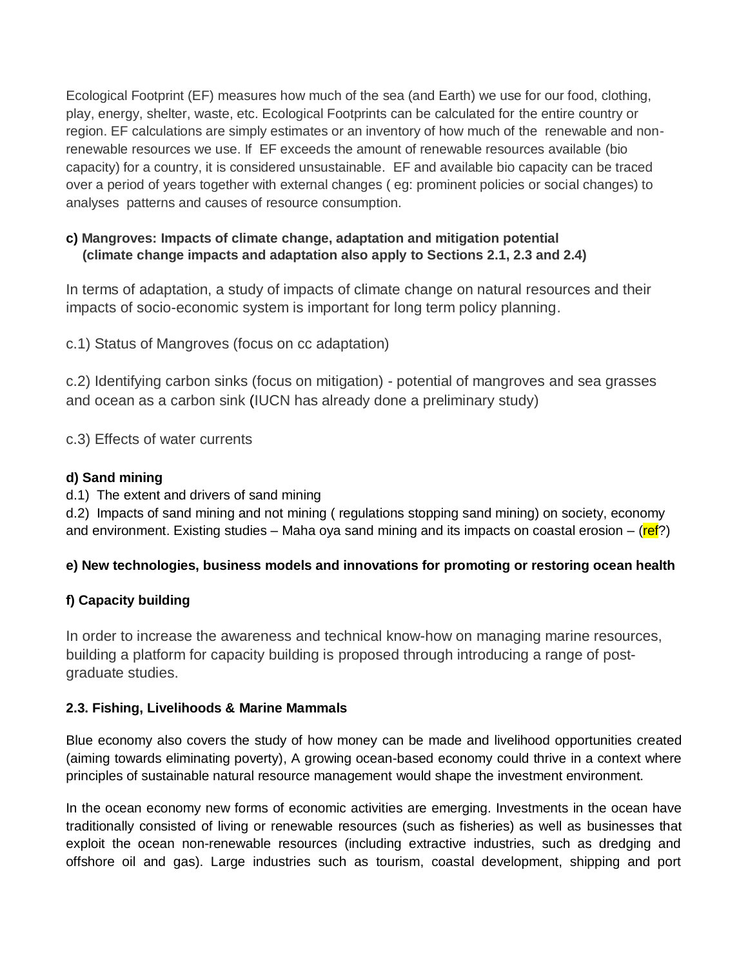Ecological Footprint (EF) measures how much of the sea (and Earth) we use for our food, clothing, play, energy, shelter, waste, etc. Ecological Footprints can be calculated for the entire country or region. EF calculations are simply estimates or an inventory of how much of the renewable and nonrenewable resources we use. If EF exceeds the amount of renewable resources available (bio capacity) for a country, it is considered unsustainable. EF and available bio capacity can be traced over a period of years together with external changes ( eg: prominent policies or social changes) to analyses patterns and causes of resource consumption.

## **c) Mangroves: Impacts of climate change, adaptation and mitigation potential (climate change impacts and adaptation also apply to Sections 2.1, 2.3 and 2.4)**

In terms of adaptation, a study of impacts of climate change on natural resources and their impacts of socio-economic system is important for long term policy planning.

c.1) Status of Mangroves (focus on cc adaptation)

c.2) Identifying carbon sinks (focus on mitigation) - potential of mangroves and sea grasses and ocean as a carbon sink (IUCN has already done a preliminary study)

c.3) Effects of water currents

## **d) Sand mining**

d.1) The extent and drivers of sand mining

d.2) Impacts of sand mining and not mining ( regulations stopping sand mining) on society, economy and environment. Existing studies – Maha oya sand mining and its impacts on coastal erosion – ( $ref$ ?)

## **e) New technologies, business models and innovations for promoting or restoring ocean health**

## **f) Capacity building**

In order to increase the awareness and technical know-how on managing marine resources, building a platform for capacity building is proposed through introducing a range of postgraduate studies.

### **2.3. Fishing, Livelihoods & Marine Mammals**

Blue economy also covers the study of how money can be made and livelihood opportunities created (aiming towards eliminating poverty), A growing ocean-based economy could thrive in a context where principles of sustainable natural resource management would shape the investment environment.

In the ocean economy new forms of economic activities are emerging. Investments in the ocean have traditionally consisted of living or renewable resources (such as fisheries) as well as businesses that exploit the ocean non-renewable resources (including extractive industries, such as dredging and offshore oil and gas). Large industries such as tourism, coastal development, shipping and port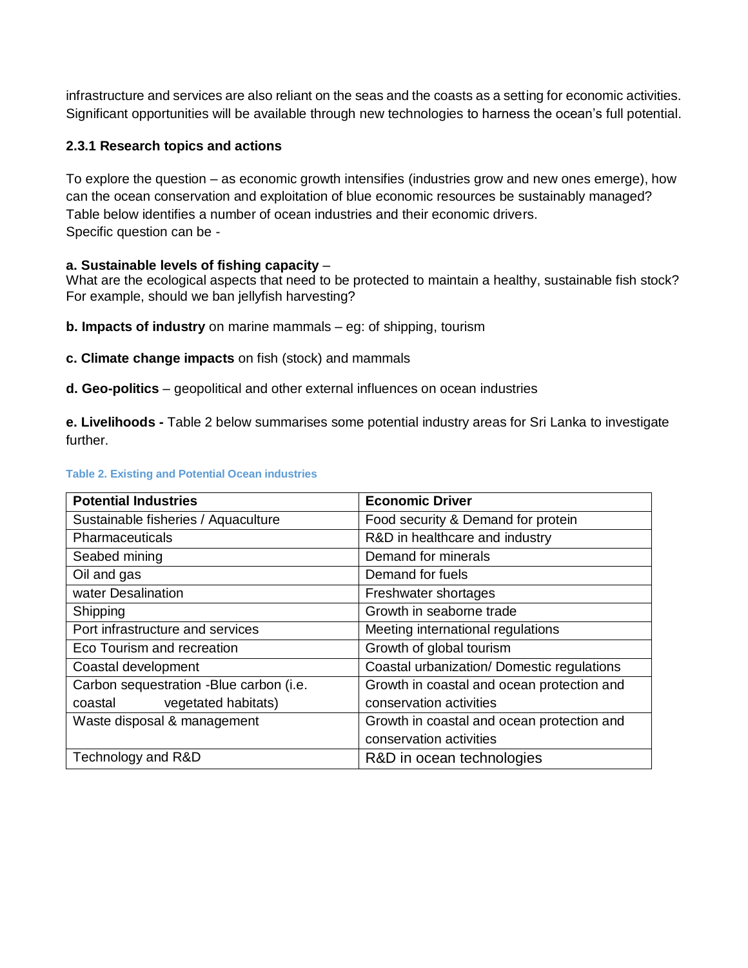infrastructure and services are also reliant on the seas and the coasts as a setting for economic activities. Significant opportunities will be available through new technologies to harness the ocean's full potential.

#### **2.3.1 Research topics and actions**

To explore the question – as economic growth intensifies (industries grow and new ones emerge), how can the ocean conservation and exploitation of blue economic resources be sustainably managed? Table below identifies a number of ocean industries and their economic drivers. Specific question can be -

#### **a. Sustainable levels of fishing capacity** –

What are the ecological aspects that need to be protected to maintain a healthy, sustainable fish stock? For example, should we ban jellyfish harvesting?

**b. Impacts of industry** on marine mammals – eg: of shipping, tourism

**c. Climate change impacts** on fish (stock) and mammals

**d. Geo-politics** – geopolitical and other external influences on ocean industries

**e. Livelihoods -** Table 2 below summarises some potential industry areas for Sri Lanka to investigate further.

#### **Table 2. Existing and Potential Ocean industries**

| <b>Potential Industries</b>             | <b>Economic Driver</b>                     |  |  |  |
|-----------------------------------------|--------------------------------------------|--|--|--|
| Sustainable fisheries / Aquaculture     | Food security & Demand for protein         |  |  |  |
| Pharmaceuticals                         | R&D in healthcare and industry             |  |  |  |
| Seabed mining                           | Demand for minerals                        |  |  |  |
| Oil and gas                             | Demand for fuels                           |  |  |  |
| water Desalination                      | Freshwater shortages                       |  |  |  |
| Shipping                                | Growth in seaborne trade                   |  |  |  |
| Port infrastructure and services        | Meeting international regulations          |  |  |  |
| Eco Tourism and recreation              | Growth of global tourism                   |  |  |  |
| Coastal development                     | Coastal urbanization/ Domestic regulations |  |  |  |
| Carbon sequestration -Blue carbon (i.e. | Growth in coastal and ocean protection and |  |  |  |
| vegetated habitats)<br>coastal          | conservation activities                    |  |  |  |
| Waste disposal & management             | Growth in coastal and ocean protection and |  |  |  |
|                                         | conservation activities                    |  |  |  |
| Technology and R&D                      | R&D in ocean technologies                  |  |  |  |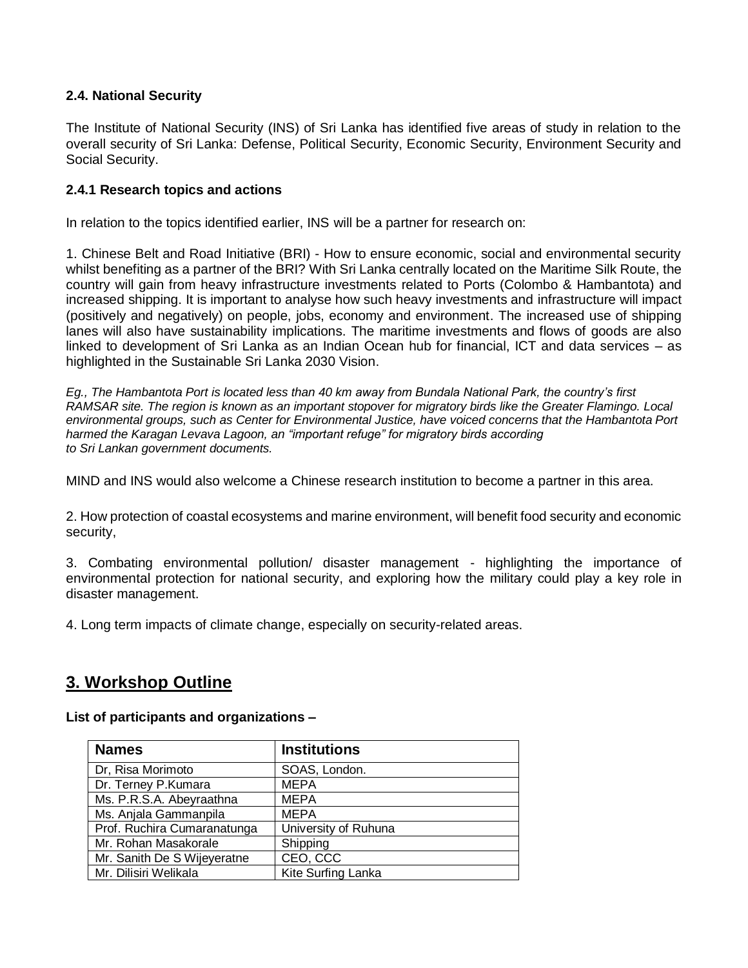#### **2.4. National Security**

The Institute of National Security (INS) of Sri Lanka has identified five areas of study in relation to the overall security of Sri Lanka: Defense, Political Security, Economic Security, Environment Security and Social Security.

#### **2.4.1 Research topics and actions**

In relation to the topics identified earlier, INS will be a partner for research on:

1. Chinese Belt and Road Initiative (BRI) - How to ensure economic, social and environmental security whilst benefiting as a partner of the BRI? With Sri Lanka centrally located on the Maritime Silk Route, the country will gain from heavy infrastructure investments related to Ports (Colombo & Hambantota) and increased shipping. It is important to analyse how such heavy investments and infrastructure will impact (positively and negatively) on people, jobs, economy and environment. The increased use of shipping lanes will also have sustainability implications. The maritime investments and flows of goods are also linked to development of Sri Lanka as an Indian Ocean hub for financial, ICT and data services – as highlighted in the Sustainable Sri Lanka 2030 Vision.

*Eg., The Hambantota Port is located less than 40 km away from Bundala National Park, the country's first RAMSAR site. The region is known as an important stopover for migratory birds like the Greater Flamingo. Local environmental groups, such as Center for Environmental Justice, have voiced concerns that the Hambantota Port harmed the Karagan Levava Lagoon, an "important refuge" for migratory birds according to Sri Lankan government documents.*

MIND and INS would also welcome a Chinese research institution to become a partner in this area.

2. How protection of coastal ecosystems and marine environment, will benefit food security and economic security,

3. Combating environmental pollution/ disaster management - highlighting the importance of environmental protection for national security, and exploring how the military could play a key role in disaster management.

4. Long term impacts of climate change, especially on security-related areas.

## **3. Workshop Outline**

**List of participants and organizations –**

| <b>Names</b>                | <b>Institutions</b>  |  |  |
|-----------------------------|----------------------|--|--|
| Dr, Risa Morimoto           | SOAS, London.        |  |  |
| Dr. Terney P.Kumara         | <b>MEPA</b>          |  |  |
| Ms. P.R.S.A. Abeyraathna    | <b>MEPA</b>          |  |  |
| Ms. Anjala Gammanpila       | <b>MEPA</b>          |  |  |
| Prof. Ruchira Cumaranatunga | University of Ruhuna |  |  |
| Mr. Rohan Masakorale        | Shipping             |  |  |
| Mr. Sanith De S Wijeyeratne | CEO, CCC             |  |  |
| Mr. Dilisiri Welikala       | Kite Surfing Lanka   |  |  |